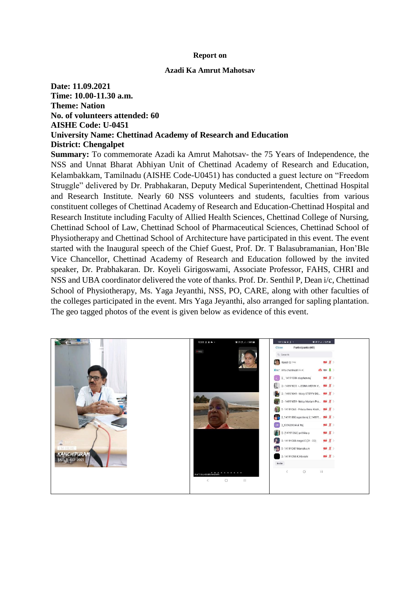## **Report on**

## **Azadi Ka Amrut Mahotsav**

**Date: 11.09.2021 Time: 10.00-11.30 a.m. Theme: Nation No. of volunteers attended: 60 AISHE Code: U-0451 University Name: Chettinad Academy of Research and Education District: Chengalpet**

**Summary:** To commemorate Azadi ka Amrut Mahotsav- the 75 Years of Independence, the NSS and Unnat Bharat Abhiyan Unit of Chettinad Academy of Research and Education, Kelambakkam, Tamilnadu (AISHE Code-U0451) has conducted a guest lecture on "Freedom Struggle" delivered by Dr. Prabhakaran, Deputy Medical Superintendent, Chettinad Hospital and Research Institute. Nearly 60 NSS volunteers and students, faculties from various constituent colleges of Chettinad Academy of Research and Education-Chettinad Hospital and Research Institute including Faculty of Allied Health Sciences, Chettinad College of Nursing, Chettinad School of Law, Chettinad School of Pharmaceutical Sciences, Chettinad School of Physiotherapy and Chettinad School of Architecture have participated in this event. The event started with the Inaugural speech of the Chief Guest, Prof. Dr. T Balasubramanian, Hon'Ble Vice Chancellor, Chettinad Academy of Research and Education followed by the invited speaker, Dr. Prabhakaran. Dr. Koyeli Girigoswami, Associate Professor, FAHS, CHRI and NSS and UBA coordinator delivered the vote of thanks. Prof. Dr. Senthil P, Dean i/c, Chettinad School of Physiotherapy, Ms. Yaga Jeyanthi, NSS, PO, CARE, along with other faculties of the colleges participated in the event. Mrs Yaga Jeyanthi, also arranged for sapling plantation. The geo tagged photos of the event is given below as evidence of this event.